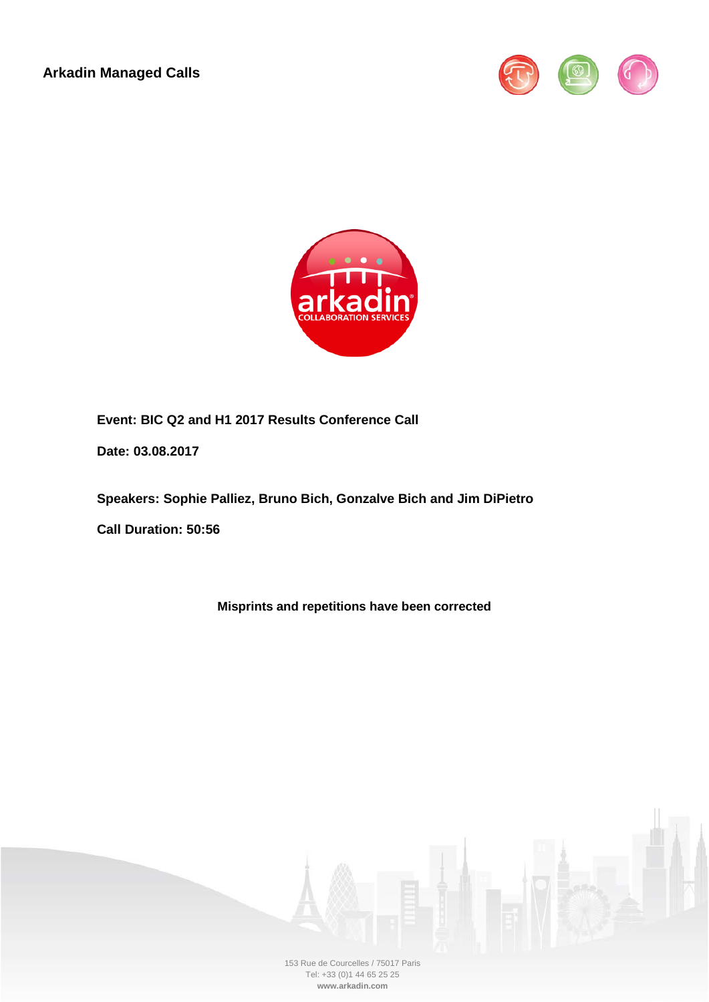**Arkadin Managed Calls**





**Event: BIC Q2 and H1 2017 Results Conference Call**

**Date: 03.08.2017**

**Speakers: Sophie Palliez, Bruno Bich, Gonzalve Bich and Jim DiPietro**

**Call Duration: 50:56**

**Misprints and repetitions have been corrected**

153 Rue de Courcelles / 75017 Paris Tel: +33 (0)1 44 65 25 25 **www.arkadin.com**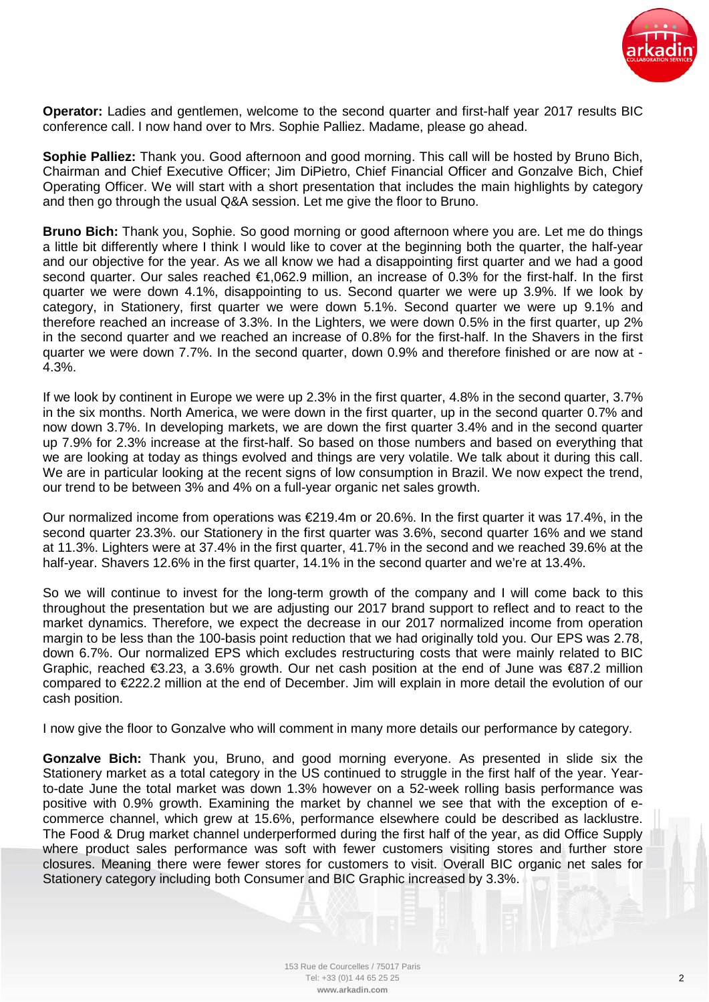

**Operator:** Ladies and gentlemen, welcome to the second quarter and first-half year 2017 results BIC conference call. I now hand over to Mrs. Sophie Palliez. Madame, please go ahead.

**Sophie Palliez:** Thank you. Good afternoon and good morning. This call will be hosted by Bruno Bich, Chairman and Chief Executive Officer; Jim DiPietro, Chief Financial Officer and Gonzalve Bich, Chief Operating Officer. We will start with a short presentation that includes the main highlights by category and then go through the usual Q&A session. Let me give the floor to Bruno.

**Bruno Bich:** Thank you, Sophie. So good morning or good afternoon where you are. Let me do things a little bit differently where I think I would like to cover at the beginning both the quarter, the half-year and our objective for the year. As we all know we had a disappointing first quarter and we had a good second quarter. Our sales reached €1,062.9 million, an increase of 0.3% for the first-half. In the first quarter we were down 4.1%, disappointing to us. Second quarter we were up 3.9%. If we look by category, in Stationery, first quarter we were down 5.1%. Second quarter we were up 9.1% and therefore reached an increase of 3.3%. In the Lighters, we were down 0.5% in the first quarter, up 2% in the second quarter and we reached an increase of 0.8% for the first-half. In the Shavers in the first quarter we were down 7.7%. In the second quarter, down 0.9% and therefore finished or are now at - 4.3%.

If we look by continent in Europe we were up 2.3% in the first quarter, 4.8% in the second quarter, 3.7% in the six months. North America, we were down in the first quarter, up in the second quarter 0.7% and now down 3.7%. In developing markets, we are down the first quarter 3.4% and in the second quarter up 7.9% for 2.3% increase at the first-half. So based on those numbers and based on everything that we are looking at today as things evolved and things are very volatile. We talk about it during this call. We are in particular looking at the recent signs of low consumption in Brazil. We now expect the trend, our trend to be between 3% and 4% on a full-year organic net sales growth.

Our normalized income from operations was  $E219.4m$  or 20.6%. In the first quarter it was 17.4%, in the second quarter 23.3%. our Stationery in the first quarter was 3.6%, second quarter 16% and we stand at 11.3%. Lighters were at 37.4% in the first quarter, 41.7% in the second and we reached 39.6% at the half-year. Shavers 12.6% in the first quarter, 14.1% in the second quarter and we're at 13.4%.

So we will continue to invest for the long-term growth of the company and I will come back to this throughout the presentation but we are adjusting our 2017 brand support to reflect and to react to the market dynamics. Therefore, we expect the decrease in our 2017 normalized income from operation margin to be less than the 100-basis point reduction that we had originally told you. Our EPS was 2.78, down 6.7%. Our normalized EPS which excludes restructuring costs that were mainly related to BIC Graphic, reached  $\epsilon$ 3.23, a 3.6% growth. Our net cash position at the end of June was  $\epsilon$ 87.2 million compared to €222.2 million at the end of December. Jim will explain in more detail the evolution of our cash position.

I now give the floor to Gonzalve who will comment in many more details our performance by category.

**Gonzalve Bich:** Thank you, Bruno, and good morning everyone. As presented in slide six the Stationery market as a total category in the US continued to struggle in the first half of the year. Yearto-date June the total market was down 1.3% however on a 52-week rolling basis performance was positive with 0.9% growth. Examining the market by channel we see that with the exception of ecommerce channel, which grew at 15.6%, performance elsewhere could be described as lacklustre. The Food & Drug market channel underperformed during the first half of the year, as did Office Supply where product sales performance was soft with fewer customers visiting stores and further store closures. Meaning there were fewer stores for customers to visit. Overall BIC organic net sales for Stationery category including both Consumer and BIC Graphic increased by 3.3%.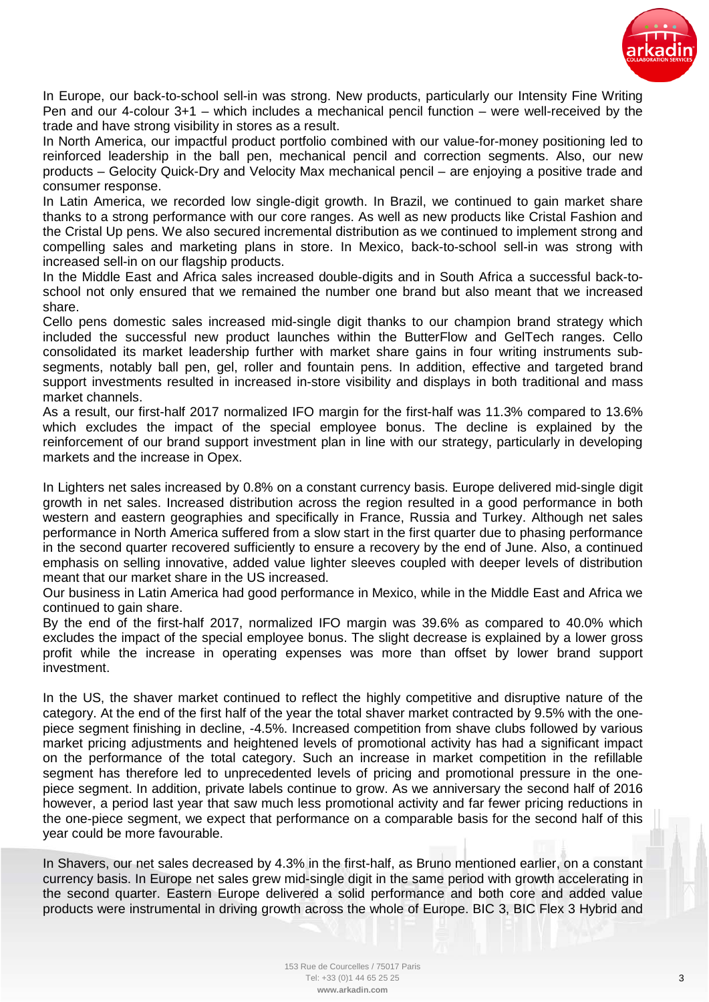

In Europe, our back-to-school sell-in was strong. New products, particularly our Intensity Fine Writing Pen and our 4-colour 3+1 – which includes a mechanical pencil function – were well-received by the trade and have strong visibility in stores as a result.

In North America, our impactful product portfolio combined with our value-for-money positioning led to reinforced leadership in the ball pen, mechanical pencil and correction segments. Also, our new products – Gelocity Quick-Dry and Velocity Max mechanical pencil – are enjoying a positive trade and consumer response.

In Latin America, we recorded low single-digit growth. In Brazil, we continued to gain market share thanks to a strong performance with our core ranges. As well as new products like Cristal Fashion and the Cristal Up pens. We also secured incremental distribution as we continued to implement strong and compelling sales and marketing plans in store. In Mexico, back-to-school sell-in was strong with increased sell-in on our flagship products.

In the Middle East and Africa sales increased double-digits and in South Africa a successful back-toschool not only ensured that we remained the number one brand but also meant that we increased share.

Cello pens domestic sales increased mid-single digit thanks to our champion brand strategy which included the successful new product launches within the ButterFlow and GelTech ranges. Cello consolidated its market leadership further with market share gains in four writing instruments subsegments, notably ball pen, gel, roller and fountain pens. In addition, effective and targeted brand support investments resulted in increased in-store visibility and displays in both traditional and mass market channels.

As a result, our first-half 2017 normalized IFO margin for the first-half was 11.3% compared to 13.6% which excludes the impact of the special employee bonus. The decline is explained by the reinforcement of our brand support investment plan in line with our strategy, particularly in developing markets and the increase in Opex.

In Lighters net sales increased by 0.8% on a constant currency basis. Europe delivered mid-single digit growth in net sales. Increased distribution across the region resulted in a good performance in both western and eastern geographies and specifically in France, Russia and Turkey. Although net sales performance in North America suffered from a slow start in the first quarter due to phasing performance in the second quarter recovered sufficiently to ensure a recovery by the end of June. Also, a continued emphasis on selling innovative, added value lighter sleeves coupled with deeper levels of distribution meant that our market share in the US increased.

Our business in Latin America had good performance in Mexico, while in the Middle East and Africa we continued to gain share.

By the end of the first-half 2017, normalized IFO margin was 39.6% as compared to 40.0% which excludes the impact of the special employee bonus. The slight decrease is explained by a lower gross profit while the increase in operating expenses was more than offset by lower brand support investment.

In the US, the shaver market continued to reflect the highly competitive and disruptive nature of the category. At the end of the first half of the year the total shaver market contracted by 9.5% with the onepiece segment finishing in decline, -4.5%. Increased competition from shave clubs followed by various market pricing adjustments and heightened levels of promotional activity has had a significant impact on the performance of the total category. Such an increase in market competition in the refillable segment has therefore led to unprecedented levels of pricing and promotional pressure in the onepiece segment. In addition, private labels continue to grow. As we anniversary the second half of 2016 however, a period last year that saw much less promotional activity and far fewer pricing reductions in the one-piece segment, we expect that performance on a comparable basis for the second half of this year could be more favourable.

In Shavers, our net sales decreased by 4.3% in the first-half, as Bruno mentioned earlier, on a constant currency basis. In Europe net sales grew mid-single digit in the same period with growth accelerating in the second quarter. Eastern Europe delivered a solid performance and both core and added value products were instrumental in driving growth across the whole of Europe. BIC 3, BIC Flex 3 Hybrid and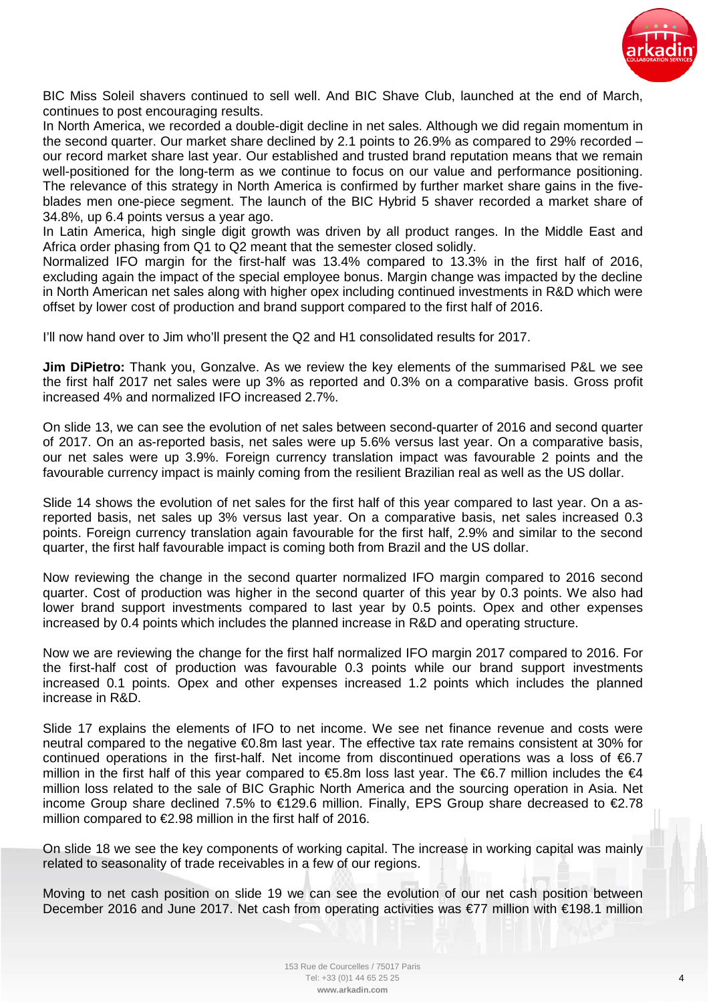

BIC Miss Soleil shavers continued to sell well. And BIC Shave Club, launched at the end of March, continues to post encouraging results.

In North America, we recorded a double-digit decline in net sales. Although we did regain momentum in the second quarter. Our market share declined by 2.1 points to 26.9% as compared to 29% recorded – our record market share last year. Our established and trusted brand reputation means that we remain well-positioned for the long-term as we continue to focus on our value and performance positioning. The relevance of this strategy in North America is confirmed by further market share gains in the fiveblades men one-piece segment. The launch of the BIC Hybrid 5 shaver recorded a market share of 34.8%, up 6.4 points versus a year ago.

In Latin America, high single digit growth was driven by all product ranges. In the Middle East and Africa order phasing from Q1 to Q2 meant that the semester closed solidly.

Normalized IFO margin for the first-half was 13.4% compared to 13.3% in the first half of 2016, excluding again the impact of the special employee bonus. Margin change was impacted by the decline in North American net sales along with higher opex including continued investments in R&D which were offset by lower cost of production and brand support compared to the first half of 2016.

I'll now hand over to Jim who'll present the Q2 and H1 consolidated results for 2017.

**Jim DiPietro:** Thank you, Gonzalve. As we review the key elements of the summarised P&L we see the first half 2017 net sales were up 3% as reported and 0.3% on a comparative basis. Gross profit increased 4% and normalized IFO increased 2.7%.

On slide 13, we can see the evolution of net sales between second-quarter of 2016 and second quarter of 2017. On an as-reported basis, net sales were up 5.6% versus last year. On a comparative basis, our net sales were up 3.9%. Foreign currency translation impact was favourable 2 points and the favourable currency impact is mainly coming from the resilient Brazilian real as well as the US dollar.

Slide 14 shows the evolution of net sales for the first half of this year compared to last year. On a asreported basis, net sales up 3% versus last year. On a comparative basis, net sales increased 0.3 points. Foreign currency translation again favourable for the first half, 2.9% and similar to the second quarter, the first half favourable impact is coming both from Brazil and the US dollar.

Now reviewing the change in the second quarter normalized IFO margin compared to 2016 second quarter. Cost of production was higher in the second quarter of this year by 0.3 points. We also had lower brand support investments compared to last year by 0.5 points. Opex and other expenses increased by 0.4 points which includes the planned increase in R&D and operating structure.

Now we are reviewing the change for the first half normalized IFO margin 2017 compared to 2016. For the first-half cost of production was favourable 0.3 points while our brand support investments increased 0.1 points. Opex and other expenses increased 1.2 points which includes the planned increase in R&D.

Slide 17 explains the elements of IFO to net income. We see net finance revenue and costs were neutral compared to the negative €0.8m last year. The effective tax rate remains consistent at 30% for continued operations in the first-half. Net income from discontinued operations was a loss of €6.7 million in the first half of this year compared to  $€5.8m$  loss last year. The  $€6.7$  million includes the  $€4$ million loss related to the sale of BIC Graphic North America and the sourcing operation in Asia. Net income Group share declined 7.5% to €129.6 million. Finally, EPS Group share decreased to €2.78 million compared to €2.98 million in the first half of 2016.

On slide 18 we see the key components of working capital. The increase in working capital was mainly related to seasonality of trade receivables in a few of our regions.

Moving to net cash position on slide 19 we can see the evolution of our net cash position between December 2016 and June 2017. Net cash from operating activities was €77 million with €198.1 million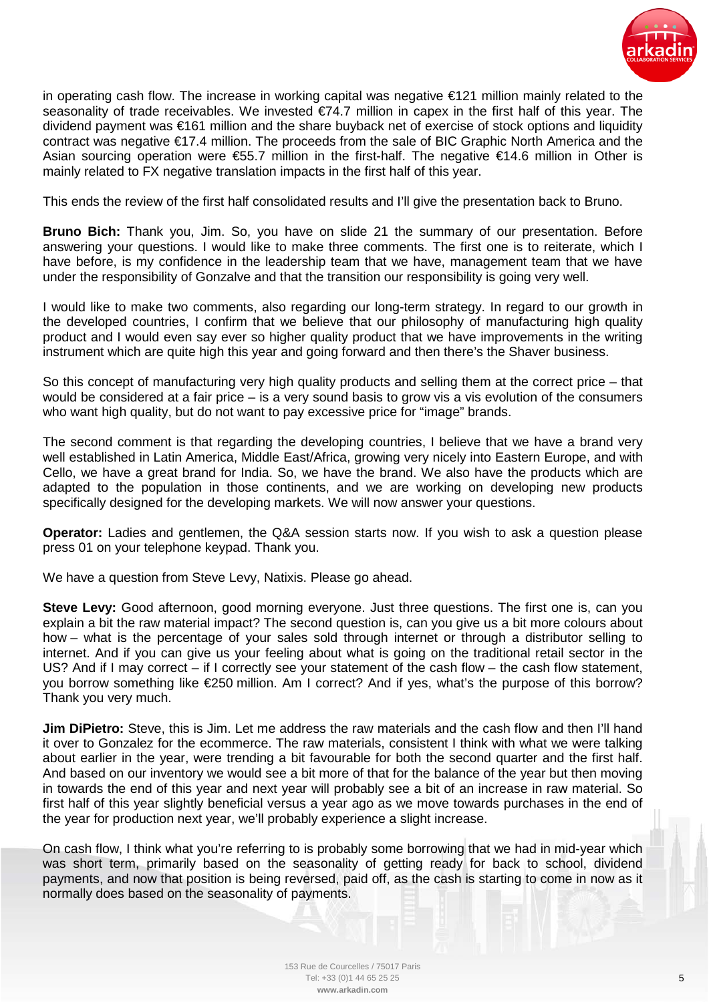

in operating cash flow. The increase in working capital was negative €121 million mainly related to the seasonality of trade receivables. We invested €74.7 million in capex in the first half of this year. The dividend payment was €161 million and the share buyback net of exercise of stock options and liquidity contract was negative €17.4 million. The proceeds from the sale of BIC Graphic North America and the Asian sourcing operation were €55.7 million in the first-half. The negative €14.6 million in Other is mainly related to FX negative translation impacts in the first half of this year.

This ends the review of the first half consolidated results and I'll give the presentation back to Bruno.

**Bruno Bich:** Thank you, Jim. So, you have on slide 21 the summary of our presentation. Before answering your questions. I would like to make three comments. The first one is to reiterate, which I have before, is my confidence in the leadership team that we have, management team that we have under the responsibility of Gonzalve and that the transition our responsibility is going very well.

I would like to make two comments, also regarding our long-term strategy. In regard to our growth in the developed countries, I confirm that we believe that our philosophy of manufacturing high quality product and I would even say ever so higher quality product that we have improvements in the writing instrument which are quite high this year and going forward and then there's the Shaver business.

So this concept of manufacturing very high quality products and selling them at the correct price – that would be considered at a fair price – is a very sound basis to grow vis a vis evolution of the consumers who want high quality, but do not want to pay excessive price for "image" brands.

The second comment is that regarding the developing countries, I believe that we have a brand very well established in Latin America, Middle East/Africa, growing very nicely into Eastern Europe, and with Cello, we have a great brand for India. So, we have the brand. We also have the products which are adapted to the population in those continents, and we are working on developing new products specifically designed for the developing markets. We will now answer your questions.

**Operator:** Ladies and gentlemen, the Q&A session starts now. If you wish to ask a question please press 01 on your telephone keypad. Thank you.

We have a question from Steve Levy, Natixis. Please go ahead.

**Steve Levy:** Good afternoon, good morning everyone. Just three questions. The first one is, can you explain a bit the raw material impact? The second question is, can you give us a bit more colours about how – what is the percentage of your sales sold through internet or through a distributor selling to internet. And if you can give us your feeling about what is going on the traditional retail sector in the US? And if I may correct – if I correctly see your statement of the cash flow – the cash flow statement, you borrow something like €250 million. Am I correct? And if yes, what's the purpose of this borrow? Thank you very much.

**Jim DiPietro:** Steve, this is Jim. Let me address the raw materials and the cash flow and then I'll hand it over to Gonzalez for the ecommerce. The raw materials, consistent I think with what we were talking about earlier in the year, were trending a bit favourable for both the second quarter and the first half. And based on our inventory we would see a bit more of that for the balance of the year but then moving in towards the end of this year and next year will probably see a bit of an increase in raw material. So first half of this year slightly beneficial versus a year ago as we move towards purchases in the end of the year for production next year, we'll probably experience a slight increase.

On cash flow, I think what you're referring to is probably some borrowing that we had in mid-year which was short term, primarily based on the seasonality of getting ready for back to school, dividend payments, and now that position is being reversed, paid off, as the cash is starting to come in now as it normally does based on the seasonality of payments.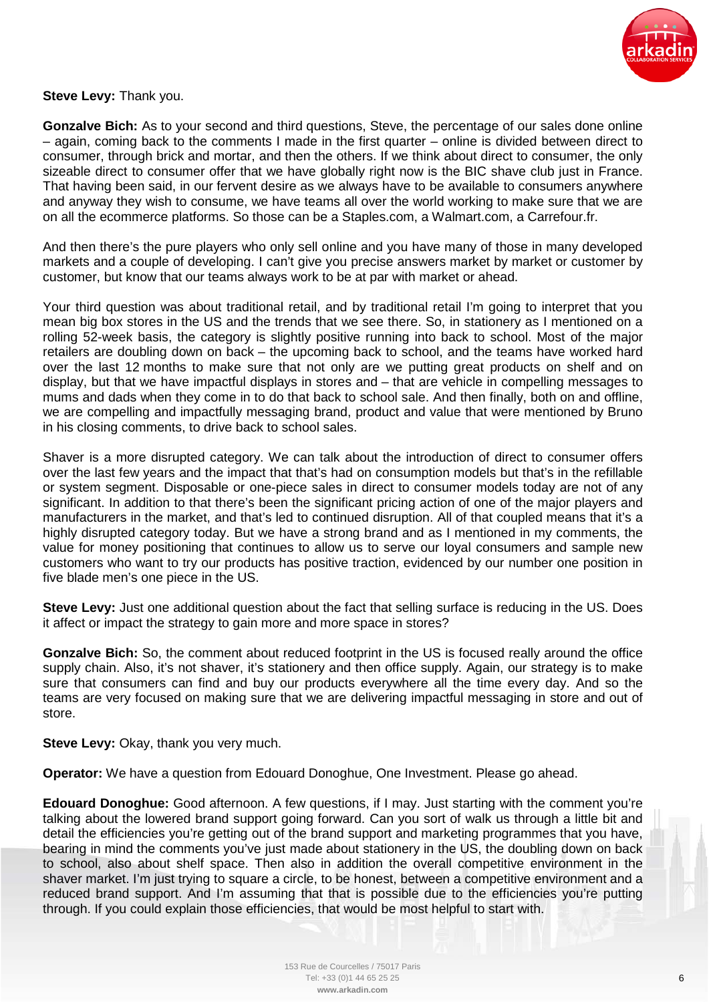

## **Steve Levy:** Thank you.

**Gonzalve Bich:** As to your second and third questions, Steve, the percentage of our sales done online – again, coming back to the comments I made in the first quarter – online is divided between direct to consumer, through brick and mortar, and then the others. If we think about direct to consumer, the only sizeable direct to consumer offer that we have globally right now is the BIC shave club just in France. That having been said, in our fervent desire as we always have to be available to consumers anywhere and anyway they wish to consume, we have teams all over the world working to make sure that we are on all the ecommerce platforms. So those can be a Staples.com, a Walmart.com, a Carrefour.fr.

And then there's the pure players who only sell online and you have many of those in many developed markets and a couple of developing. I can't give you precise answers market by market or customer by customer, but know that our teams always work to be at par with market or ahead.

Your third question was about traditional retail, and by traditional retail I'm going to interpret that you mean big box stores in the US and the trends that we see there. So, in stationery as I mentioned on a rolling 52-week basis, the category is slightly positive running into back to school. Most of the major retailers are doubling down on back – the upcoming back to school, and the teams have worked hard over the last 12 months to make sure that not only are we putting great products on shelf and on display, but that we have impactful displays in stores and – that are vehicle in compelling messages to mums and dads when they come in to do that back to school sale. And then finally, both on and offline, we are compelling and impactfully messaging brand, product and value that were mentioned by Bruno in his closing comments, to drive back to school sales.

Shaver is a more disrupted category. We can talk about the introduction of direct to consumer offers over the last few years and the impact that that's had on consumption models but that's in the refillable or system segment. Disposable or one-piece sales in direct to consumer models today are not of any significant. In addition to that there's been the significant pricing action of one of the major players and manufacturers in the market, and that's led to continued disruption. All of that coupled means that it's a highly disrupted category today. But we have a strong brand and as I mentioned in my comments, the value for money positioning that continues to allow us to serve our loyal consumers and sample new customers who want to try our products has positive traction, evidenced by our number one position in five blade men's one piece in the US.

**Steve Levy:** Just one additional question about the fact that selling surface is reducing in the US. Does it affect or impact the strategy to gain more and more space in stores?

**Gonzalve Bich:** So, the comment about reduced footprint in the US is focused really around the office supply chain. Also, it's not shaver, it's stationery and then office supply. Again, our strategy is to make sure that consumers can find and buy our products everywhere all the time every day. And so the teams are very focused on making sure that we are delivering impactful messaging in store and out of store.

**Steve Levy:** Okay, thank you very much.

**Operator:** We have a question from Edouard Donoghue, One Investment. Please go ahead.

**Edouard Donoghue:** Good afternoon. A few questions, if I may. Just starting with the comment you're talking about the lowered brand support going forward. Can you sort of walk us through a little bit and detail the efficiencies you're getting out of the brand support and marketing programmes that you have, bearing in mind the comments you've just made about stationery in the US, the doubling down on back to school, also about shelf space. Then also in addition the overall competitive environment in the shaver market. I'm just trying to square a circle, to be honest, between a competitive environment and a reduced brand support. And I'm assuming that that is possible due to the efficiencies you're putting through. If you could explain those efficiencies, that would be most helpful to start with.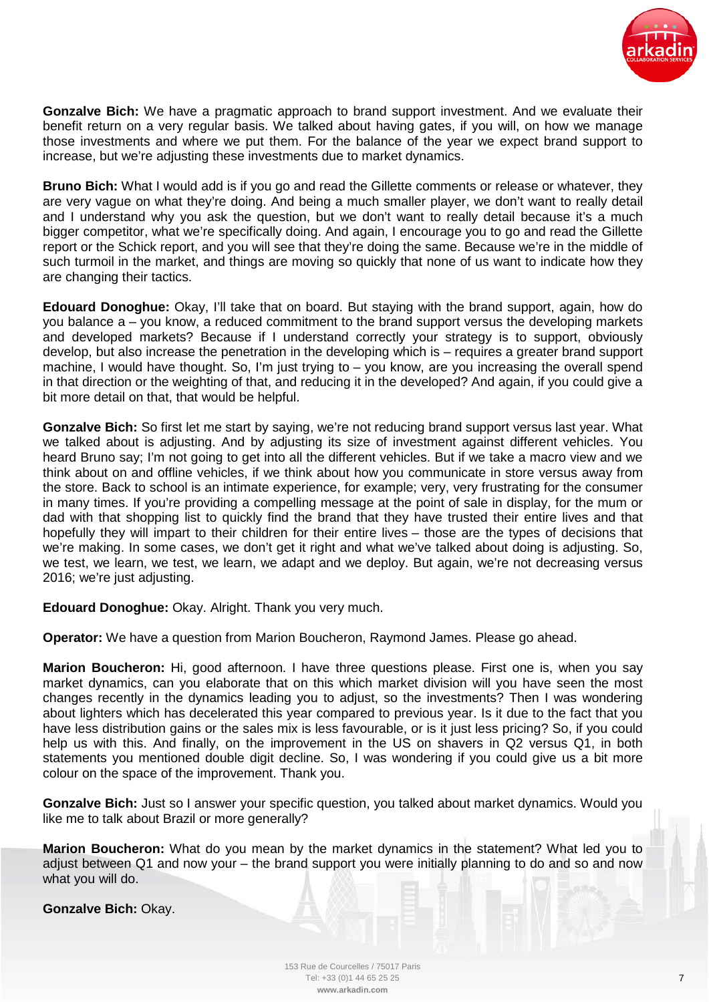

**Gonzalve Bich:** We have a pragmatic approach to brand support investment. And we evaluate their benefit return on a very regular basis. We talked about having gates, if you will, on how we manage those investments and where we put them. For the balance of the year we expect brand support to increase, but we're adjusting these investments due to market dynamics.

**Bruno Bich:** What I would add is if you go and read the Gillette comments or release or whatever, they are very vague on what they're doing. And being a much smaller player, we don't want to really detail and I understand why you ask the question, but we don't want to really detail because it's a much bigger competitor, what we're specifically doing. And again, I encourage you to go and read the Gillette report or the Schick report, and you will see that they're doing the same. Because we're in the middle of such turmoil in the market, and things are moving so quickly that none of us want to indicate how they are changing their tactics.

**Edouard Donoghue:** Okay, I'll take that on board. But staying with the brand support, again, how do you balance a – you know, a reduced commitment to the brand support versus the developing markets and developed markets? Because if I understand correctly your strategy is to support, obviously develop, but also increase the penetration in the developing which is – requires a greater brand support machine, I would have thought. So, I'm just trying to – you know, are you increasing the overall spend in that direction or the weighting of that, and reducing it in the developed? And again, if you could give a bit more detail on that, that would be helpful.

**Gonzalve Bich:** So first let me start by saying, we're not reducing brand support versus last year. What we talked about is adjusting. And by adjusting its size of investment against different vehicles. You heard Bruno say; I'm not going to get into all the different vehicles. But if we take a macro view and we think about on and offline vehicles, if we think about how you communicate in store versus away from the store. Back to school is an intimate experience, for example; very, very frustrating for the consumer in many times. If you're providing a compelling message at the point of sale in display, for the mum or dad with that shopping list to quickly find the brand that they have trusted their entire lives and that hopefully they will impart to their children for their entire lives – those are the types of decisions that we're making. In some cases, we don't get it right and what we've talked about doing is adjusting. So, we test, we learn, we test, we learn, we adapt and we deploy. But again, we're not decreasing versus 2016; we're just adjusting.

**Edouard Donoghue:** Okay. Alright. Thank you very much.

**Operator:** We have a question from Marion Boucheron, Raymond James. Please go ahead.

**Marion Boucheron:** Hi, good afternoon. I have three questions please. First one is, when you say market dynamics, can you elaborate that on this which market division will you have seen the most changes recently in the dynamics leading you to adjust, so the investments? Then I was wondering about lighters which has decelerated this year compared to previous year. Is it due to the fact that you have less distribution gains or the sales mix is less favourable, or is it just less pricing? So, if you could help us with this. And finally, on the improvement in the US on shavers in Q2 versus Q1, in both statements you mentioned double digit decline. So, I was wondering if you could give us a bit more colour on the space of the improvement. Thank you.

**Gonzalve Bich:** Just so I answer your specific question, you talked about market dynamics. Would you like me to talk about Brazil or more generally?

**Marion Boucheron:** What do you mean by the market dynamics in the statement? What led you to adjust between Q1 and now your – the brand support you were initially planning to do and so and now what you will do.

**Gonzalve Bich:** Okay.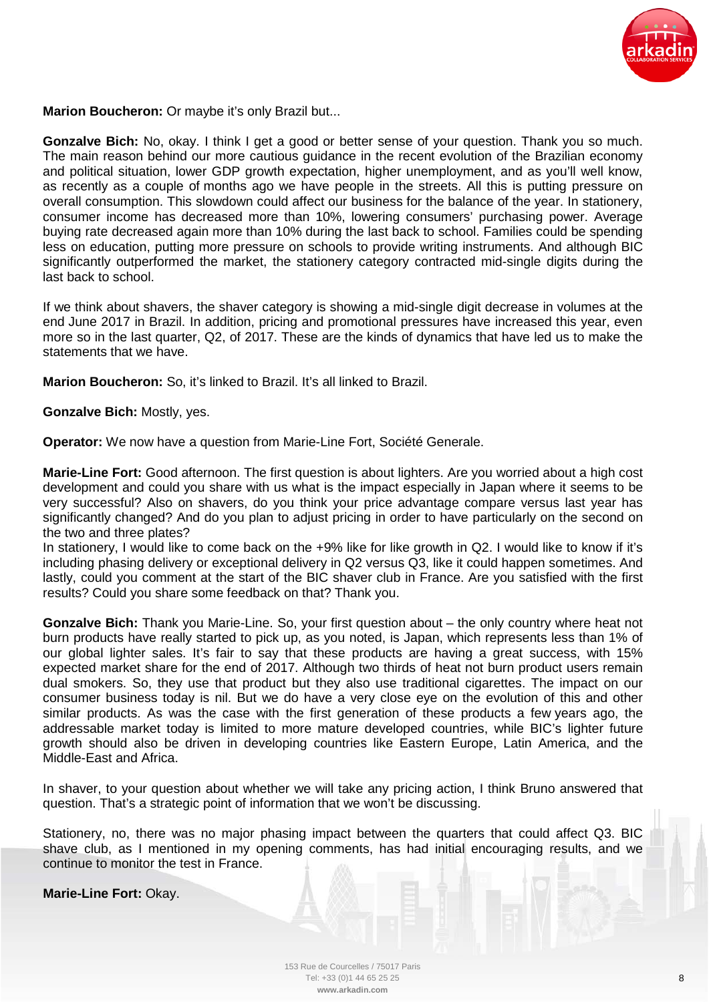

**Marion Boucheron:** Or maybe it's only Brazil but...

**Gonzalve Bich:** No, okay. I think I get a good or better sense of your question. Thank you so much. The main reason behind our more cautious guidance in the recent evolution of the Brazilian economy and political situation, lower GDP growth expectation, higher unemployment, and as you'll well know, as recently as a couple of months ago we have people in the streets. All this is putting pressure on overall consumption. This slowdown could affect our business for the balance of the year. In stationery, consumer income has decreased more than 10%, lowering consumers' purchasing power. Average buying rate decreased again more than 10% during the last back to school. Families could be spending less on education, putting more pressure on schools to provide writing instruments. And although BIC significantly outperformed the market, the stationery category contracted mid-single digits during the last back to school.

If we think about shavers, the shaver category is showing a mid-single digit decrease in volumes at the end June 2017 in Brazil. In addition, pricing and promotional pressures have increased this year, even more so in the last quarter, Q2, of 2017. These are the kinds of dynamics that have led us to make the statements that we have.

**Marion Boucheron:** So, it's linked to Brazil. It's all linked to Brazil.

**Gonzalve Bich:** Mostly, yes.

**Operator:** We now have a question from Marie-Line Fort, Société Generale.

**Marie-Line Fort:** Good afternoon. The first question is about lighters. Are you worried about a high cost development and could you share with us what is the impact especially in Japan where it seems to be very successful? Also on shavers, do you think your price advantage compare versus last year has significantly changed? And do you plan to adjust pricing in order to have particularly on the second on the two and three plates?

In stationery, I would like to come back on the +9% like for like growth in Q2. I would like to know if it's including phasing delivery or exceptional delivery in Q2 versus Q3, like it could happen sometimes. And lastly, could you comment at the start of the BIC shaver club in France. Are you satisfied with the first results? Could you share some feedback on that? Thank you.

**Gonzalve Bich:** Thank you Marie-Line. So, your first question about – the only country where heat not burn products have really started to pick up, as you noted, is Japan, which represents less than 1% of our global lighter sales. It's fair to say that these products are having a great success, with 15% expected market share for the end of 2017. Although two thirds of heat not burn product users remain dual smokers. So, they use that product but they also use traditional cigarettes. The impact on our consumer business today is nil. But we do have a very close eye on the evolution of this and other similar products. As was the case with the first generation of these products a few years ago, the addressable market today is limited to more mature developed countries, while BIC's lighter future growth should also be driven in developing countries like Eastern Europe, Latin America, and the Middle-East and Africa.

In shaver, to your question about whether we will take any pricing action, I think Bruno answered that question. That's a strategic point of information that we won't be discussing.

Stationery, no, there was no major phasing impact between the quarters that could affect Q3. BIC shave club, as I mentioned in my opening comments, has had initial encouraging results, and we continue to monitor the test in France.

**Marie-Line Fort:** Okay.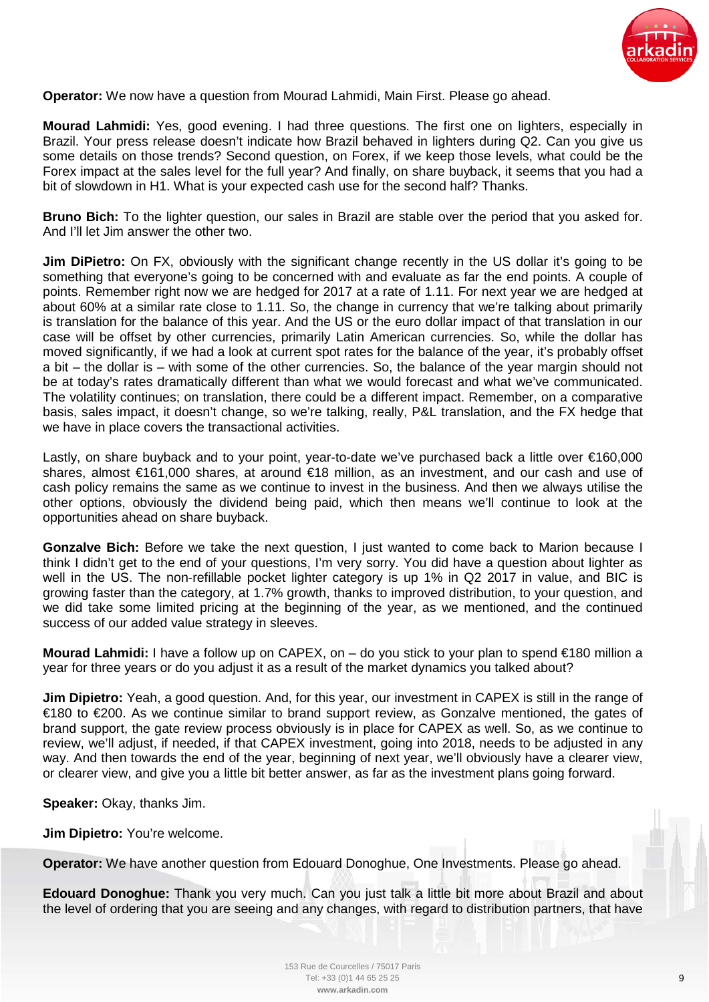

**Operator:** We now have a question from Mourad Lahmidi, Main First. Please go ahead.

**Mourad Lahmidi:** Yes, good evening. I had three questions. The first one on lighters, especially in Brazil. Your press release doesn't indicate how Brazil behaved in lighters during Q2. Can you give us some details on those trends? Second question, on Forex, if we keep those levels, what could be the Forex impact at the sales level for the full year? And finally, on share buyback, it seems that you had a bit of slowdown in H1. What is your expected cash use for the second half? Thanks.

**Bruno Bich:** To the lighter question, our sales in Brazil are stable over the period that you asked for. And I'll let Jim answer the other two.

**Jim DiPietro:** On FX, obviously with the significant change recently in the US dollar it's going to be something that everyone's going to be concerned with and evaluate as far the end points. A couple of points. Remember right now we are hedged for 2017 at a rate of 1.11. For next year we are hedged at about 60% at a similar rate close to 1.11. So, the change in currency that we're talking about primarily is translation for the balance of this year. And the US or the euro dollar impact of that translation in our case will be offset by other currencies, primarily Latin American currencies. So, while the dollar has moved significantly, if we had a look at current spot rates for the balance of the year, it's probably offset a bit – the dollar is – with some of the other currencies. So, the balance of the year margin should not be at today's rates dramatically different than what we would forecast and what we've communicated. The volatility continues; on translation, there could be a different impact. Remember, on a comparative basis, sales impact, it doesn't change, so we're talking, really, P&L translation, and the FX hedge that we have in place covers the transactional activities.

Lastly, on share buyback and to your point, year-to-date we've purchased back a little over €160,000 shares, almost €161,000 shares, at around €18 million, as an investment, and our cash and use of cash policy remains the same as we continue to invest in the business. And then we always utilise the other options, obviously the dividend being paid, which then means we'll continue to look at the opportunities ahead on share buyback.

**Gonzalve Bich:** Before we take the next question, I just wanted to come back to Marion because I think I didn't get to the end of your questions, I'm very sorry. You did have a question about lighter as well in the US. The non-refillable pocket lighter category is up 1% in Q2 2017 in value, and BIC is growing faster than the category, at 1.7% growth, thanks to improved distribution, to your question, and we did take some limited pricing at the beginning of the year, as we mentioned, and the continued success of our added value strategy in sleeves.

**Mourad Lahmidi:** I have a follow up on CAPEX, on – do you stick to your plan to spend €180 million a year for three years or do you adjust it as a result of the market dynamics you talked about?

**Jim Dipietro:** Yeah, a good question. And, for this year, our investment in CAPEX is still in the range of €180 to €200. As we continue similar to brand support review, as Gonzalve mentioned, the gates of brand support, the gate review process obviously is in place for CAPEX as well. So, as we continue to review, we'll adjust, if needed, if that CAPEX investment, going into 2018, needs to be adjusted in any way. And then towards the end of the year, beginning of next year, we'll obviously have a clearer view, or clearer view, and give you a little bit better answer, as far as the investment plans going forward.

**Speaker:** Okay, thanks Jim.

**Jim Dipietro:** You're welcome.

**Operator:** We have another question from Edouard Donoghue, One Investments. Please go ahead.

**Edouard Donoghue:** Thank you very much. Can you just talk a little bit more about Brazil and about the level of ordering that you are seeing and any changes, with regard to distribution partners, that have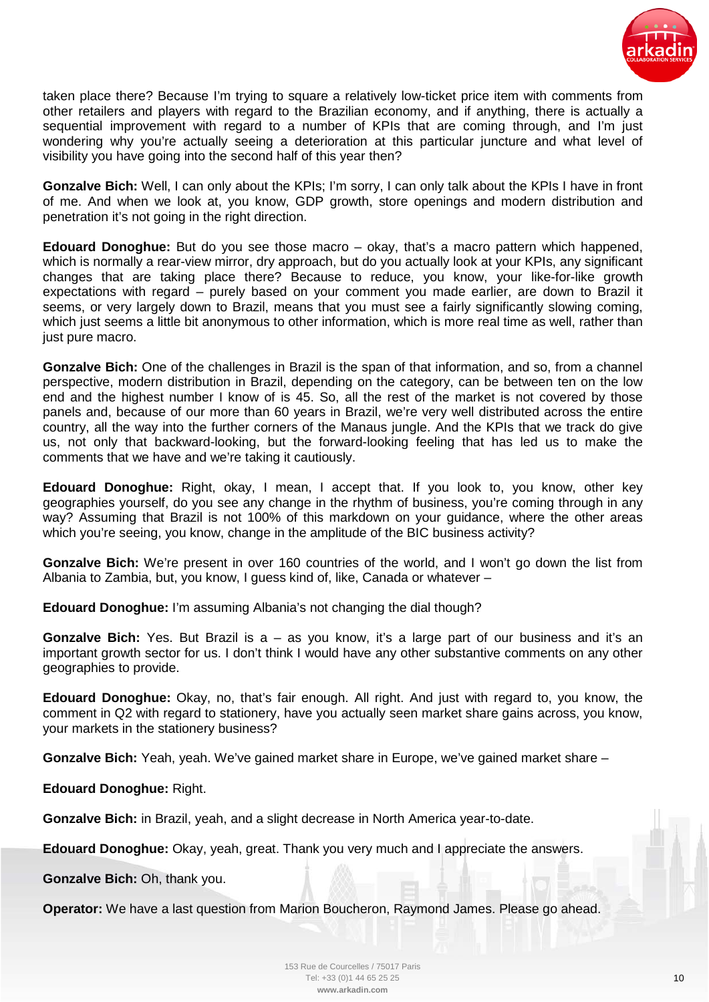

taken place there? Because I'm trying to square a relatively low-ticket price item with comments from other retailers and players with regard to the Brazilian economy, and if anything, there is actually a sequential improvement with regard to a number of KPIs that are coming through, and I'm just wondering why you're actually seeing a deterioration at this particular juncture and what level of visibility you have going into the second half of this year then?

**Gonzalve Bich:** Well, I can only about the KPIs; I'm sorry, I can only talk about the KPIs I have in front of me. And when we look at, you know, GDP growth, store openings and modern distribution and penetration it's not going in the right direction.

**Edouard Donoghue:** But do you see those macro – okay, that's a macro pattern which happened, which is normally a rear-view mirror, dry approach, but do you actually look at your KPIs, any significant changes that are taking place there? Because to reduce, you know, your like-for-like growth expectations with regard – purely based on your comment you made earlier, are down to Brazil it seems, or very largely down to Brazil, means that you must see a fairly significantly slowing coming, which just seems a little bit anonymous to other information, which is more real time as well, rather than just pure macro.

**Gonzalve Bich:** One of the challenges in Brazil is the span of that information, and so, from a channel perspective, modern distribution in Brazil, depending on the category, can be between ten on the low end and the highest number I know of is 45. So, all the rest of the market is not covered by those panels and, because of our more than 60 years in Brazil, we're very well distributed across the entire country, all the way into the further corners of the Manaus jungle. And the KPIs that we track do give us, not only that backward-looking, but the forward-looking feeling that has led us to make the comments that we have and we're taking it cautiously.

**Edouard Donoghue:** Right, okay, I mean, I accept that. If you look to, you know, other key geographies yourself, do you see any change in the rhythm of business, you're coming through in any way? Assuming that Brazil is not 100% of this markdown on your guidance, where the other areas which you're seeing, you know, change in the amplitude of the BIC business activity?

**Gonzalve Bich:** We're present in over 160 countries of the world, and I won't go down the list from Albania to Zambia, but, you know, I guess kind of, like, Canada or whatever –

**Edouard Donoghue:** I'm assuming Albania's not changing the dial though?

**Gonzalve Bich:** Yes. But Brazil is a – as you know, it's a large part of our business and it's an important growth sector for us. I don't think I would have any other substantive comments on any other geographies to provide.

**Edouard Donoghue:** Okay, no, that's fair enough. All right. And just with regard to, you know, the comment in Q2 with regard to stationery, have you actually seen market share gains across, you know, your markets in the stationery business?

**Gonzalve Bich:** Yeah, yeah. We've gained market share in Europe, we've gained market share –

**Edouard Donoghue:** Right.

**Gonzalve Bich:** in Brazil, yeah, and a slight decrease in North America year-to-date.

**Edouard Donoghue:** Okay, yeah, great. Thank you very much and I appreciate the answers.

**Gonzalve Bich:** Oh, thank you.

**Operator:** We have a last question from Marion Boucheron, Raymond James. Please go ahead.